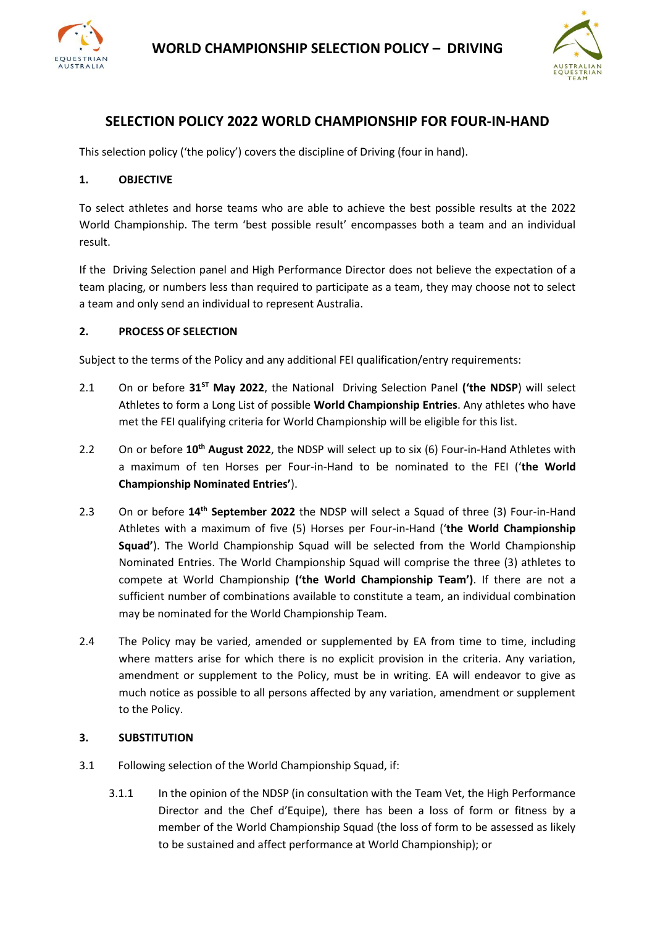



# **SELECTION POLICY 2022 WORLD CHAMPIONSHIP FOR FOUR-IN-HAND**

This selection policy ('the policy') covers the discipline of Driving (four in hand).

## **1. OBJECTIVE**

To select athletes and horse teams who are able to achieve the best possible results at the 2022 World Championship. The term 'best possible result' encompasses both a team and an individual result.

If the Driving Selection panel and High Performance Director does not believe the expectation of a team placing, or numbers less than required to participate as a team, they may choose not to select a team and only send an individual to represent Australia.

#### **2. PROCESS OF SELECTION**

Subject to the terms of the Policy and any additional FEI qualification/entry requirements:

- 2.1 On or before **31ST May 2022**, the National Driving Selection Panel **('the NDSP**) will select Athletes to form a Long List of possible **World Championship Entries**. Any athletes who have met the FEI qualifying criteria for World Championship will be eligible for this list.
- 2.2 On or before **10th August 2022**, the NDSP will select up to six (6) Four-in-Hand Athletes with a maximum of ten Horses per Four-in-Hand to be nominated to the FEI ('**the World Championship Nominated Entries'**).
- 2.3 On or before **14th September 2022** the NDSP will select a Squad of three (3) Four-in-Hand Athletes with a maximum of five (5) Horses per Four-in-Hand ('**the World Championship Squad'**). The World Championship Squad will be selected from the World Championship Nominated Entries. The World Championship Squad will comprise the three (3) athletes to compete at World Championship **('the World Championship Team')**. If there are not a sufficient number of combinations available to constitute a team, an individual combination may be nominated for the World Championship Team.
- 2.4 The Policy may be varied, amended or supplemented by EA from time to time, including where matters arise for which there is no explicit provision in the criteria. Any variation, amendment or supplement to the Policy, must be in writing. EA will endeavor to give as much notice as possible to all persons affected by any variation, amendment or supplement to the Policy.

#### **3. SUBSTITUTION**

- 3.1 Following selection of the World Championship Squad, if:
	- 3.1.1 In the opinion of the NDSP (in consultation with the Team Vet, the High Performance Director and the Chef d'Equipe), there has been a loss of form or fitness by a member of the World Championship Squad (the loss of form to be assessed as likely to be sustained and affect performance at World Championship); or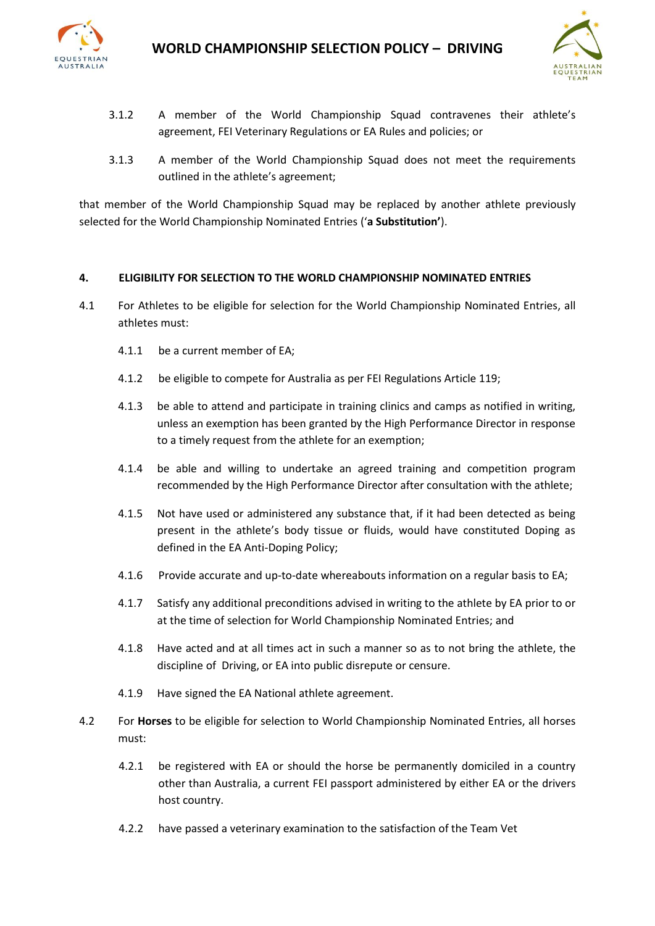

- 3.1.2 A member of the World Championship Squad contravenes their athlete's agreement, FEI Veterinary Regulations or EA Rules and policies; or
- 3.1.3 A member of the World Championship Squad does not meet the requirements outlined in the athlete's agreement;

that member of the World Championship Squad may be replaced by another athlete previously selected for the World Championship Nominated Entries ('**a Substitution'**).

#### **4. ELIGIBILITY FOR SELECTION TO THE WORLD CHAMPIONSHIP NOMINATED ENTRIES**

- 4.1 For Athletes to be eligible for selection for the World Championship Nominated Entries, all athletes must:
	- 4.1.1 be a current member of EA;
	- 4.1.2 be eligible to compete for Australia as per FEI Regulations Article 119;
	- 4.1.3 be able to attend and participate in training clinics and camps as notified in writing, unless an exemption has been granted by the High Performance Director in response to a timely request from the athlete for an exemption;
	- 4.1.4 be able and willing to undertake an agreed training and competition program recommended by the High Performance Director after consultation with the athlete;
	- 4.1.5 Not have used or administered any substance that, if it had been detected as being present in the athlete's body tissue or fluids, would have constituted Doping as defined in the EA Anti-Doping Policy;
	- 4.1.6 Provide accurate and up-to-date whereabouts information on a regular basis to EA;
	- 4.1.7 Satisfy any additional preconditions advised in writing to the athlete by EA prior to or at the time of selection for World Championship Nominated Entries; and
	- 4.1.8 Have acted and at all times act in such a manner so as to not bring the athlete, the discipline of Driving, or EA into public disrepute or censure.
	- 4.1.9 Have signed the EA National athlete agreement.
- 4.2 For **Horses** to be eligible for selection to World Championship Nominated Entries, all horses must:
	- 4.2.1 be registered with EA or should the horse be permanently domiciled in a country other than Australia, a current FEI passport administered by either EA or the drivers host country.
	- 4.2.2 have passed a veterinary examination to the satisfaction of the Team Vet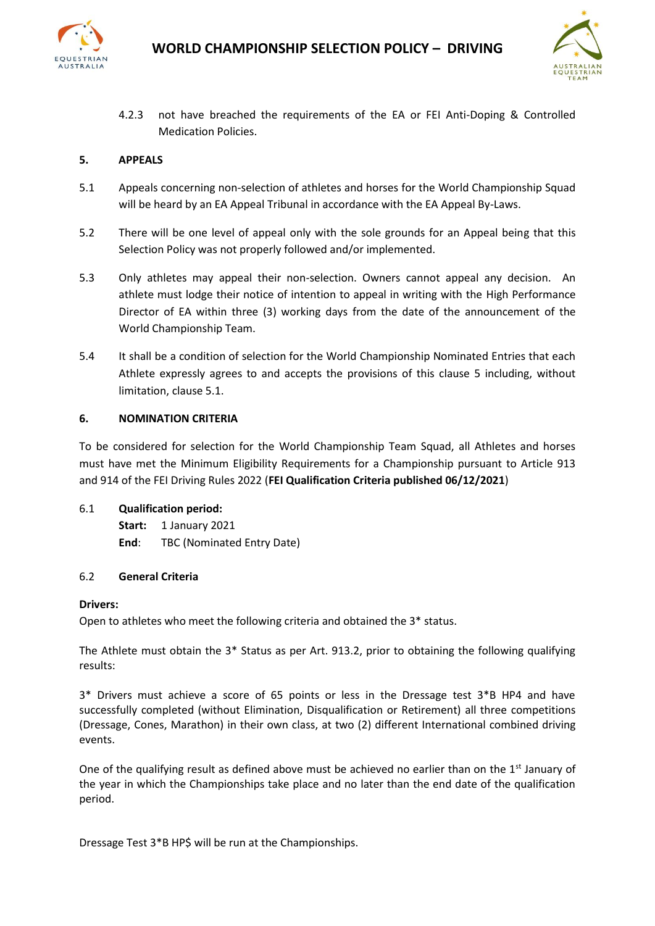



4.2.3 not have breached the requirements of the EA or FEI Anti-Doping & Controlled Medication Policies.

## **5. APPEALS**

- 5.1Appeals concerning non-selection of athletes and horses for the World Championship Squad will be heard by an EA Appeal Tribunal in accordance with the EA Appeal By-Laws.
- 5.2There will be one level of appeal only with the sole grounds for an Appeal being that this Selection Policy was not properly followed and/or implemented.
- 5.3Only athletes may appeal their non-selection. Owners cannot appeal any decision. An athlete must lodge their notice of intention to appeal in writing with the High Performance Director of EA within three (3) working days from the date of the announcement of the World Championship Team.
- 5.4 It shall be a condition of selection for the World Championship Nominated Entries that each Athlete expressly agrees to and accepts the provisions of this clause 5 including, without limitation, clause 5.1.

#### **6. NOMINATION CRITERIA**

To be considered for selection for the World Championship Team Squad, all Athletes and horses must have met the Minimum Eligibility Requirements for a Championship pursuant to Article 913 and 914 of the FEI Driving Rules 2022 (**FEI Qualification Criteria published 06/12/2021**)

#### 6.1 **Qualification period:**

Start: 1 January 2021 **End**: TBC (Nominated Entry Date)

#### 6.2 **General Criteria**

#### **Drivers:**

Open to athletes who meet the following criteria and obtained the 3\* status.

The Athlete must obtain the 3\* Status as per Art. 913.2, prior to obtaining the following qualifying results:

3\* Drivers must achieve a score of 65 points or less in the Dressage test 3\*B HP4 and have successfully completed (without Elimination, Disqualification or Retirement) all three competitions (Dressage, Cones, Marathon) in their own class, at two (2) different International combined driving events.

One of the qualifying result as defined above must be achieved no earlier than on the  $1<sup>st</sup>$  January of the year in which the Championships take place and no later than the end date of the qualification period.

Dressage Test 3\*B HP\$ will be run at the Championships.